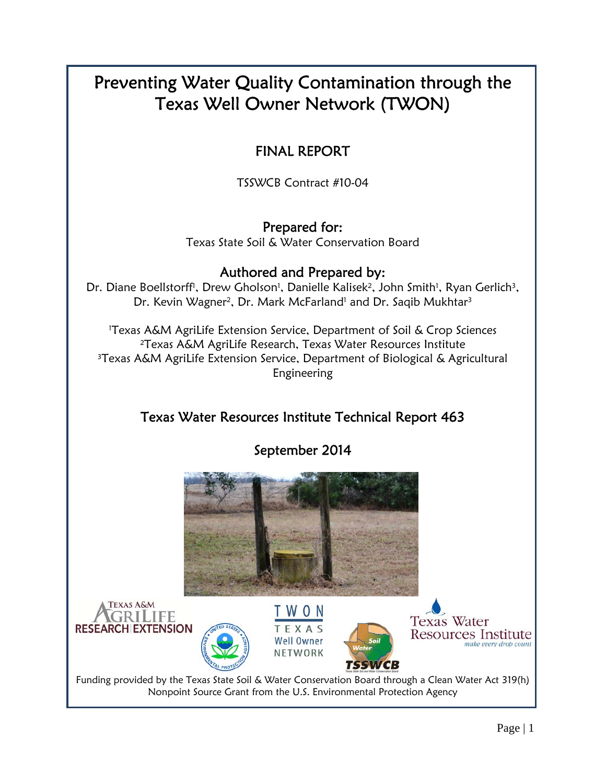# Preventing Water Quality Contamination through the Texas Well Owner Network (TWON)

## FINAL REPORT

TSSWCB Contract #10-04

Prepared for: Texas State Soil & Water Conservation Board

### Authored and Prepared by:

Dr. Diane Boellstorff<sup>i</sup>, Drew Gholson<sup>1</sup>, Danielle Kalisek<sup>2</sup>, John Smith<sup>1</sup>, Ryan Gerlich<sup>3</sup>, Dr. Kevin Wagner<sup>2</sup>, Dr. Mark McFarland<sup>1</sup> and Dr. Saqib Mukhtar<sup>3</sup>

1 Texas A&M AgriLife Extension Service, Department of Soil & Crop Sciences 2Texas A&M AgriLife Research, Texas Water Resources Institute 3Texas A&M AgriLife Extension Service, Department of Biological & Agricultural Engineering

## Texas Water Resources Institute Technical Report 463

September 2014

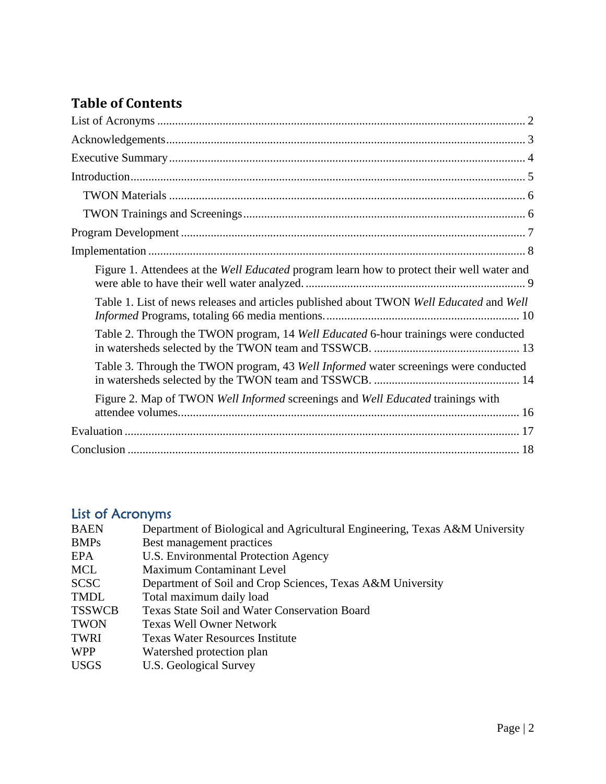## **Table of Contents**

| Figure 1. Attendees at the <i>Well Educated</i> program learn how to protect their well water and |
|---------------------------------------------------------------------------------------------------|
| Table 1. List of news releases and articles published about TWON Well Educated and Well           |
| Table 2. Through the TWON program, 14 Well Educated 6-hour trainings were conducted               |
| Table 3. Through the TWON program, 43 Well Informed water screenings were conducted               |
| Figure 2. Map of TWON Well Informed screenings and Well Educated trainings with                   |
|                                                                                                   |
|                                                                                                   |

#### List of Acronyms

| <b>BAEN</b>   | Department of Biological and Agricultural Engineering, Texas A&M University |
|---------------|-----------------------------------------------------------------------------|
| <b>BMPs</b>   | Best management practices                                                   |
| <b>EPA</b>    | U.S. Environmental Protection Agency                                        |
| MCL           | <b>Maximum Contaminant Level</b>                                            |
| <b>SCSC</b>   | Department of Soil and Crop Sciences, Texas A&M University                  |
| <b>TMDL</b>   | Total maximum daily load                                                    |
| <b>TSSWCB</b> | <b>Texas State Soil and Water Conservation Board</b>                        |
| <b>TWON</b>   | <b>Texas Well Owner Network</b>                                             |
| <b>TWRI</b>   | <b>Texas Water Resources Institute</b>                                      |
| <b>WPP</b>    | Watershed protection plan                                                   |
| <b>USGS</b>   | U.S. Geological Survey                                                      |
|               |                                                                             |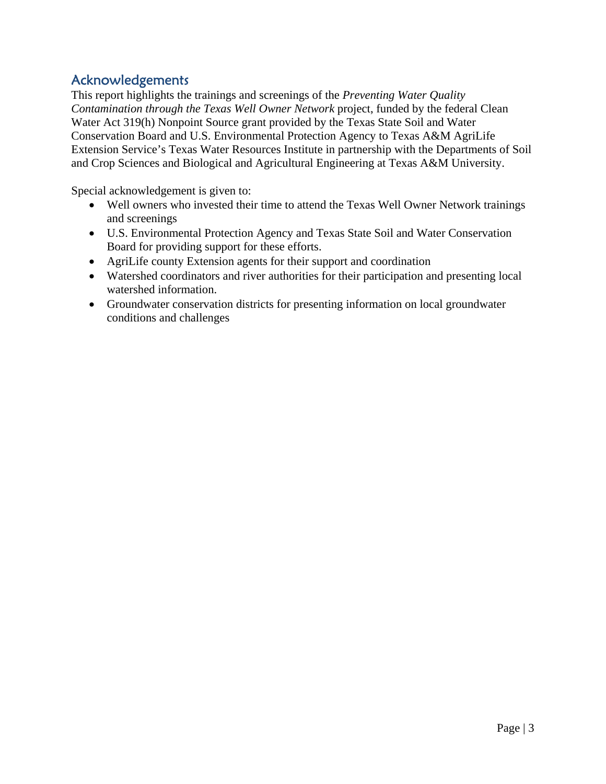#### Acknowledgements

This report highlights the trainings and screenings of the *Preventing Water Quality Contamination through the Texas Well Owner Network* project, funded by the federal Clean Water Act 319(h) Nonpoint Source grant provided by the Texas State Soil and Water Conservation Board and U.S. Environmental Protection Agency to Texas A&M AgriLife Extension Service's Texas Water Resources Institute in partnership with the Departments of Soil and Crop Sciences and Biological and Agricultural Engineering at Texas A&M University.

Special acknowledgement is given to:

- Well owners who invested their time to attend the Texas Well Owner Network trainings and screenings
- U.S. Environmental Protection Agency and Texas State Soil and Water Conservation Board for providing support for these efforts.
- AgriLife county Extension agents for their support and coordination
- Watershed coordinators and river authorities for their participation and presenting local watershed information.
- Groundwater conservation districts for presenting information on local groundwater conditions and challenges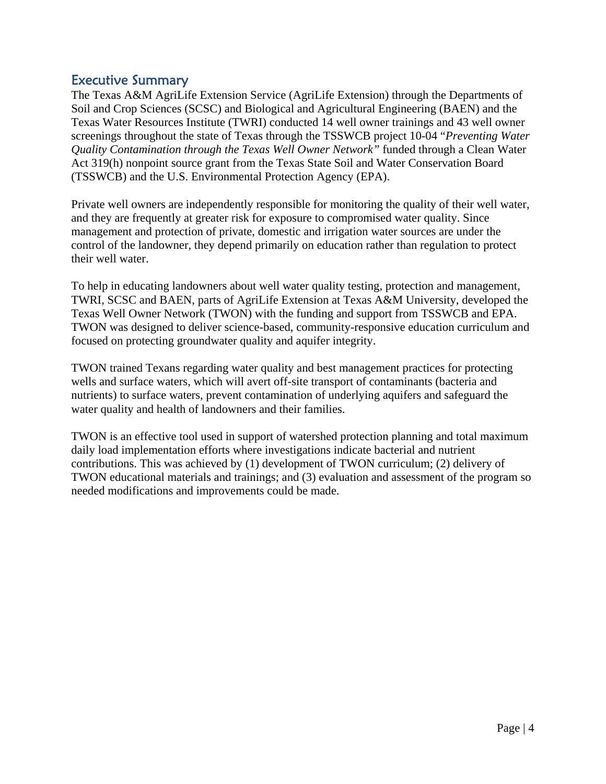#### Executive Summary

The Texas A&M AgriLife Extension Service (AgriLife Extension) through the Departments of Soil and Crop Sciences (SCSC) and Biological and Agricultural Engineering (BAEN) and the Texas Water Resources Institute (TWRI) conducted 14 well owner trainings and 43 well owner screenings throughout the state of Texas through the TSSWCB project 10-04 "*Preventing Water Quality Contamination through the Texas Well Owner Network"* funded through a Clean Water Act 319(h) nonpoint source grant from the Texas State Soil and Water Conservation Board (TSSWCB) and the U.S. Environmental Protection Agency (EPA).

Private well owners are independently responsible for monitoring the quality of their well water, and they are frequently at greater risk for exposure to compromised water quality. Since management and protection of private, domestic and irrigation water sources are under the control of the landowner, they depend primarily on education rather than regulation to protect their well water.

To help in educating landowners about well water quality testing, protection and management, TWRI, SCSC and BAEN, parts of AgriLife Extension at Texas A&M University, developed the Texas Well Owner Network (TWON) with the funding and support from TSSWCB and EPA. TWON was designed to deliver science-based, community-responsive education curriculum and focused on protecting groundwater quality and aquifer integrity.

TWON trained Texans regarding water quality and best management practices for protecting wells and surface waters, which will avert off-site transport of contaminants (bacteria and nutrients) to surface waters, prevent contamination of underlying aquifers and safeguard the water quality and health of landowners and their families.

TWON is an effective tool used in support of watershed protection planning and total maximum daily load implementation efforts where investigations indicate bacterial and nutrient contributions. This was achieved by (1) development of TWON curriculum; (2) delivery of TWON educational materials and trainings; and (3) evaluation and assessment of the program so needed modifications and improvements could be made.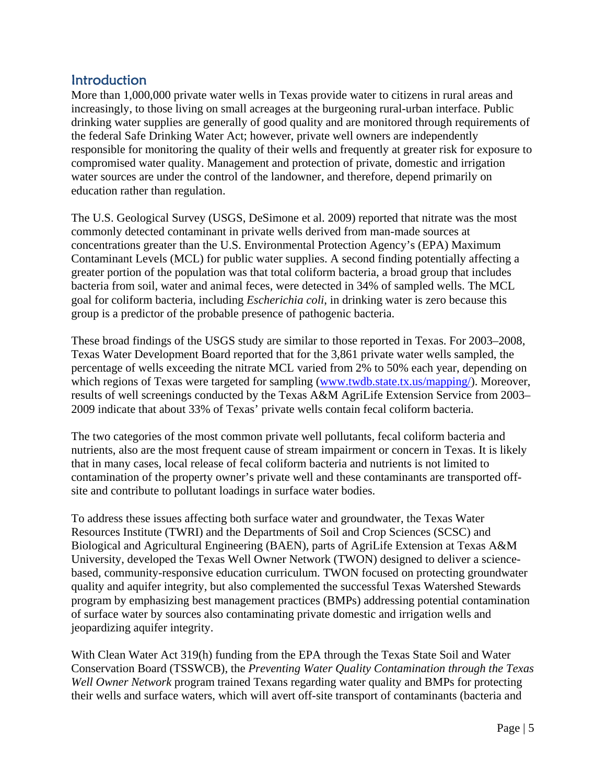#### **Introduction**

More than 1,000,000 private water wells in Texas provide water to citizens in rural areas and increasingly, to those living on small acreages at the burgeoning rural-urban interface. Public drinking water supplies are generally of good quality and are monitored through requirements of the federal Safe Drinking Water Act; however, private well owners are independently responsible for monitoring the quality of their wells and frequently at greater risk for exposure to compromised water quality. Management and protection of private, domestic and irrigation water sources are under the control of the landowner, and therefore, depend primarily on education rather than regulation.

The U.S. Geological Survey (USGS, DeSimone et al. 2009) reported that nitrate was the most commonly detected contaminant in private wells derived from man-made sources at concentrations greater than the U.S. Environmental Protection Agency's (EPA) Maximum Contaminant Levels (MCL) for public water supplies. A second finding potentially affecting a greater portion of the population was that total coliform bacteria, a broad group that includes bacteria from soil, water and animal feces, were detected in 34% of sampled wells. The MCL goal for coliform bacteria, including *Escherichia coli*, in drinking water is zero because this group is a predictor of the probable presence of pathogenic bacteria.

These broad findings of the USGS study are similar to those reported in Texas. For 2003–2008, Texas Water Development Board reported that for the 3,861 private water wells sampled, the percentage of wells exceeding the nitrate MCL varied from 2% to 50% each year, depending on which regions of Texas were targeted for sampling (www.twdb.state.tx.us/mapping/). Moreover, results of well screenings conducted by the Texas A&M AgriLife Extension Service from 2003– 2009 indicate that about 33% of Texas' private wells contain fecal coliform bacteria.

The two categories of the most common private well pollutants, fecal coliform bacteria and nutrients, also are the most frequent cause of stream impairment or concern in Texas. It is likely that in many cases, local release of fecal coliform bacteria and nutrients is not limited to contamination of the property owner's private well and these contaminants are transported offsite and contribute to pollutant loadings in surface water bodies.

To address these issues affecting both surface water and groundwater, the Texas Water Resources Institute (TWRI) and the Departments of Soil and Crop Sciences (SCSC) and Biological and Agricultural Engineering (BAEN), parts of AgriLife Extension at Texas A&M University, developed the Texas Well Owner Network (TWON) designed to deliver a sciencebased, community-responsive education curriculum. TWON focused on protecting groundwater quality and aquifer integrity, but also complemented the successful Texas Watershed Stewards program by emphasizing best management practices (BMPs) addressing potential contamination of surface water by sources also contaminating private domestic and irrigation wells and jeopardizing aquifer integrity.

With Clean Water Act 319(h) funding from the EPA through the Texas State Soil and Water Conservation Board (TSSWCB), the *Preventing Water Quality Contamination through the Texas Well Owner Network* program trained Texans regarding water quality and BMPs for protecting their wells and surface waters, which will avert off-site transport of contaminants (bacteria and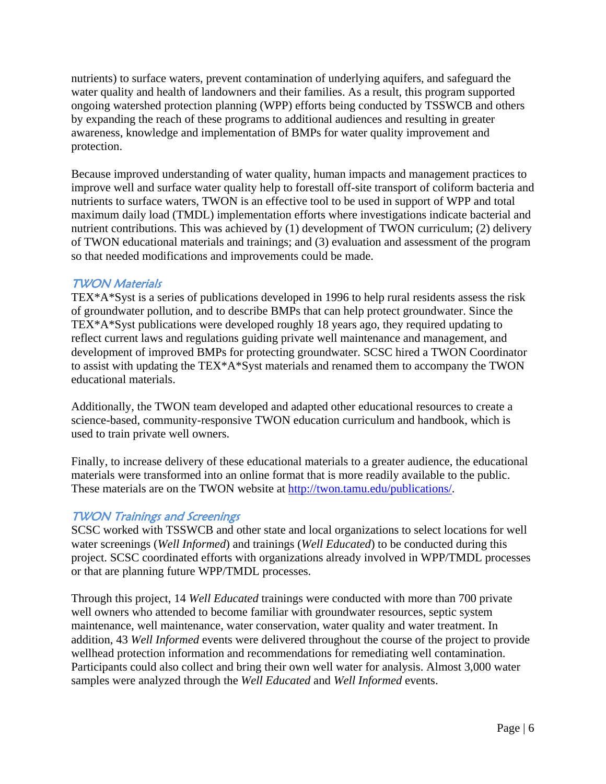nutrients) to surface waters, prevent contamination of underlying aquifers, and safeguard the water quality and health of landowners and their families. As a result, this program supported ongoing watershed protection planning (WPP) efforts being conducted by TSSWCB and others by expanding the reach of these programs to additional audiences and resulting in greater awareness, knowledge and implementation of BMPs for water quality improvement and protection.

Because improved understanding of water quality, human impacts and management practices to improve well and surface water quality help to forestall off-site transport of coliform bacteria and nutrients to surface waters, TWON is an effective tool to be used in support of WPP and total maximum daily load (TMDL) implementation efforts where investigations indicate bacterial and nutrient contributions. This was achieved by (1) development of TWON curriculum; (2) delivery of TWON educational materials and trainings; and (3) evaluation and assessment of the program so that needed modifications and improvements could be made.

#### TWON Materials

TEX\*A\*Syst is a series of publications developed in 1996 to help rural residents assess the risk of groundwater pollution, and to describe BMPs that can help protect groundwater. Since the TEX\*A\*Syst publications were developed roughly 18 years ago, they required updating to reflect current laws and regulations guiding private well maintenance and management, and development of improved BMPs for protecting groundwater. SCSC hired a TWON Coordinator to assist with updating the TEX\*A\*Syst materials and renamed them to accompany the TWON educational materials.

Additionally, the TWON team developed and adapted other educational resources to create a science-based, community-responsive TWON education curriculum and handbook, which is used to train private well owners.

Finally, to increase delivery of these educational materials to a greater audience, the educational materials were transformed into an online format that is more readily available to the public. These materials are on the TWON website at http://twon.tamu.edu/publications/.

#### TWON Trainings and Screenings

SCSC worked with TSSWCB and other state and local organizations to select locations for well water screenings (*Well Informed*) and trainings (*Well Educated*) to be conducted during this project. SCSC coordinated efforts with organizations already involved in WPP/TMDL processes or that are planning future WPP/TMDL processes.

Through this project, 14 *Well Educated* trainings were conducted with more than 700 private well owners who attended to become familiar with groundwater resources, septic system maintenance, well maintenance, water conservation, water quality and water treatment. In addition, 43 *Well Informed* events were delivered throughout the course of the project to provide wellhead protection information and recommendations for remediating well contamination. Participants could also collect and bring their own well water for analysis. Almost 3,000 water samples were analyzed through the *Well Educated* and *Well Informed* events.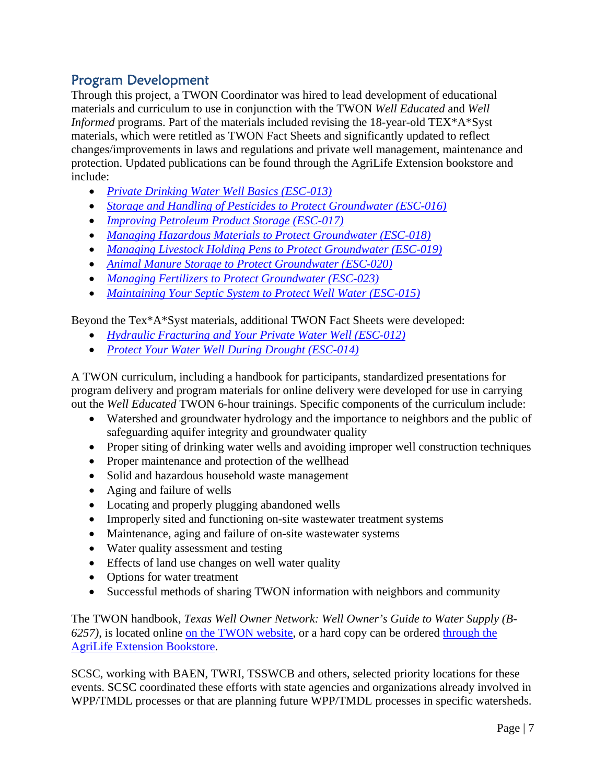#### Program Development

Through this project, a TWON Coordinator was hired to lead development of educational materials and curriculum to use in conjunction with the TWON *Well Educated* and *Well Informed* programs. Part of the materials included revising the 18-year-old TEX\*A\*Syst materials, which were retitled as TWON Fact Sheets and significantly updated to reflect changes/improvements in laws and regulations and private well management, maintenance and protection. Updated publications can be found through the AgriLife Extension bookstore and include:

- *Private Drinking Water Well Basics (ESC-013)*
- *Storage and Handling of Pesticides to Protect Groundwater (ESC-016)*
- *Improving Petroleum Product Storage (ESC-017)*
- *Managing Hazardous Materials to Protect Groundwater (ESC-018)*
- *Managing Livestock Holding Pens to Protect Groundwater (ESC-019)*
- *Animal Manure Storage to Protect Groundwater (ESC-020)*
- *Managing Fertilizers to Protect Groundwater (ESC-023)*
- *Maintaining Your Septic System to Protect Well Water (ESC-015)*

Beyond the Tex\*A\*Syst materials, additional TWON Fact Sheets were developed:

- *Hydraulic Fracturing and Your Private Water Well (ESC-012)*
- *Protect Your Water Well During Drought (ESC-014)*

A TWON curriculum, including a handbook for participants, standardized presentations for program delivery and program materials for online delivery were developed for use in carrying out the *Well Educated* TWON 6-hour trainings. Specific components of the curriculum include:

- Watershed and groundwater hydrology and the importance to neighbors and the public of safeguarding aquifer integrity and groundwater quality
- Proper siting of drinking water wells and avoiding improper well construction techniques
- Proper maintenance and protection of the wellhead
- Solid and hazardous household waste management
- Aging and failure of wells
- Locating and properly plugging abandoned wells
- Improperly sited and functioning on-site wastewater treatment systems
- Maintenance, aging and failure of on-site wastewater systems
- Water quality assessment and testing
- Effects of land use changes on well water quality
- Options for water treatment
- Successful methods of sharing TWON information with neighbors and community

The TWON handbook, *Texas Well Owner Network: Well Owner's Guide to Water Supply (B-6257)*, is located online on the TWON website, or a hard copy can be ordered through the AgriLife Extension Bookstore.

SCSC, working with BAEN, TWRI, TSSWCB and others, selected priority locations for these events. SCSC coordinated these efforts with state agencies and organizations already involved in WPP/TMDL processes or that are planning future WPP/TMDL processes in specific watersheds.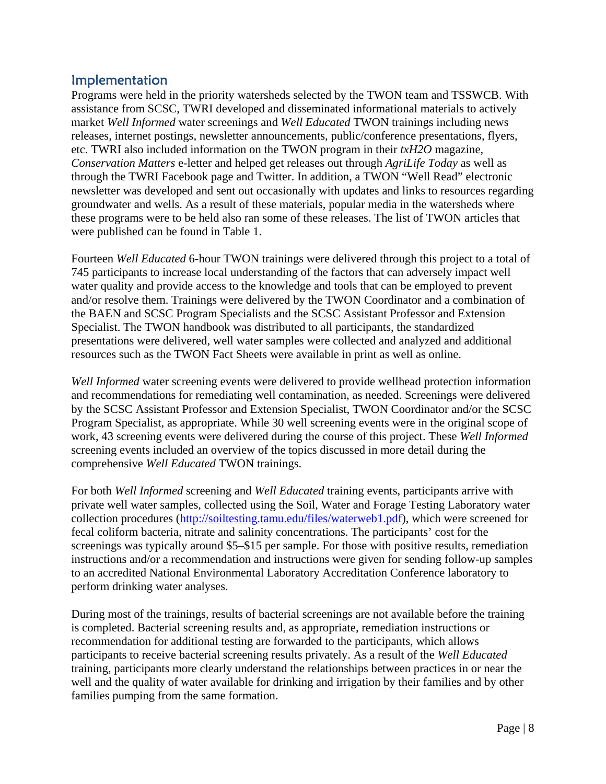#### Implementation

Programs were held in the priority watersheds selected by the TWON team and TSSWCB. With assistance from SCSC, TWRI developed and disseminated informational materials to actively market *Well Informed* water screenings and *Well Educated* TWON trainings including news releases, internet postings, newsletter announcements, public/conference presentations, flyers, etc. TWRI also included information on the TWON program in their *txH2O* magazine, *Conservation Matters* e-letter and helped get releases out through *AgriLife Today* as well as through the TWRI Facebook page and Twitter. In addition, a TWON "Well Read" electronic newsletter was developed and sent out occasionally with updates and links to resources regarding groundwater and wells. As a result of these materials, popular media in the watersheds where these programs were to be held also ran some of these releases. The list of TWON articles that were published can be found in Table 1.

Fourteen *Well Educated* 6-hour TWON trainings were delivered through this project to a total of 745 participants to increase local understanding of the factors that can adversely impact well water quality and provide access to the knowledge and tools that can be employed to prevent and/or resolve them. Trainings were delivered by the TWON Coordinator and a combination of the BAEN and SCSC Program Specialists and the SCSC Assistant Professor and Extension Specialist. The TWON handbook was distributed to all participants, the standardized presentations were delivered, well water samples were collected and analyzed and additional resources such as the TWON Fact Sheets were available in print as well as online.

*Well Informed* water screening events were delivered to provide wellhead protection information and recommendations for remediating well contamination, as needed. Screenings were delivered by the SCSC Assistant Professor and Extension Specialist, TWON Coordinator and/or the SCSC Program Specialist, as appropriate. While 30 well screening events were in the original scope of work, 43 screening events were delivered during the course of this project. These *Well Informed*  screening events included an overview of the topics discussed in more detail during the comprehensive *Well Educated* TWON trainings.

For both *Well Informed* screening and *Well Educated* training events, participants arrive with private well water samples, collected using the Soil, Water and Forage Testing Laboratory water collection procedures (http://soiltesting.tamu.edu/files/waterweb1.pdf), which were screened for fecal coliform bacteria, nitrate and salinity concentrations. The participants' cost for the screenings was typically around \$5–\$15 per sample. For those with positive results, remediation instructions and/or a recommendation and instructions were given for sending follow-up samples to an accredited National Environmental Laboratory Accreditation Conference laboratory to perform drinking water analyses.

During most of the trainings, results of bacterial screenings are not available before the training is completed. Bacterial screening results and, as appropriate, remediation instructions or recommendation for additional testing are forwarded to the participants, which allows participants to receive bacterial screening results privately. As a result of the *Well Educated* training, participants more clearly understand the relationships between practices in or near the well and the quality of water available for drinking and irrigation by their families and by other families pumping from the same formation.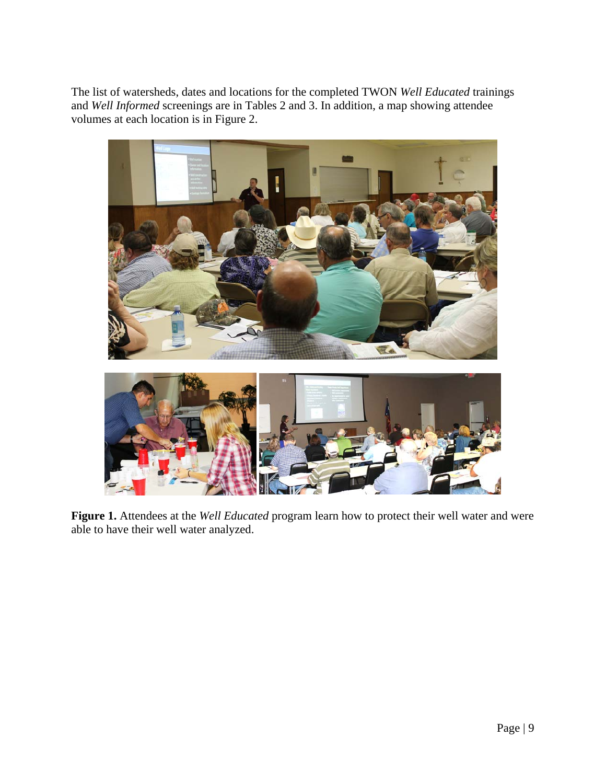The list of watersheds, dates and locations for the completed TWON *Well Educated* trainings and *Well Informed* screenings are in Tables 2 and 3. In addition, a map showing attendee volumes at each location is in Figure 2.



**Figure 1.** Attendees at the *Well Educated* program learn how to protect their well water and were able to have their well water analyzed.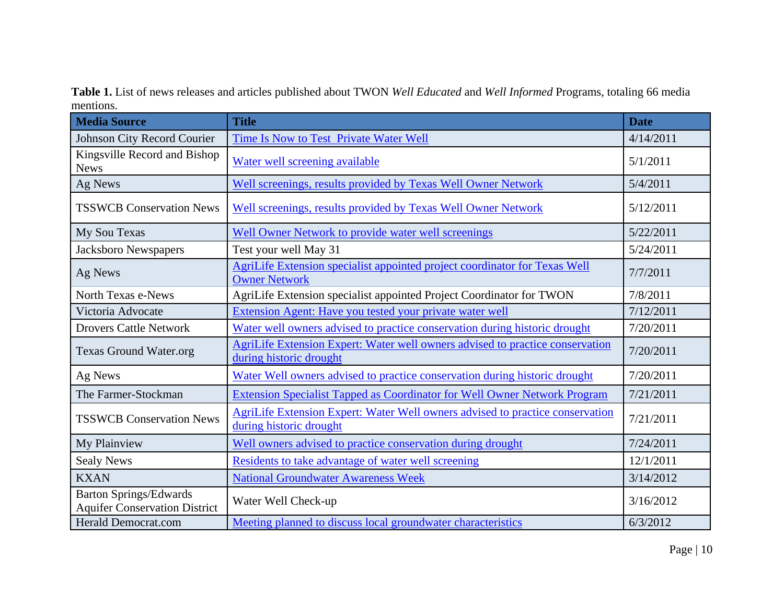**Table 1.** List of news releases and articles published about TWON *Well Educated* and *Well Informed* Programs, totaling 66 media mentions.

| <b>Media Source</b>                                                   | <b>Title</b>                                                                                                                 | <b>Date</b> |
|-----------------------------------------------------------------------|------------------------------------------------------------------------------------------------------------------------------|-------------|
| Johnson City Record Courier                                           | Time Is Now to Test Private Water Well                                                                                       | 4/14/2011   |
| Kingsville Record and Bishop<br><b>News</b>                           | Water well screening available                                                                                               | 5/1/2011    |
| Ag News                                                               | Well screenings, results provided by Texas Well Owner Network                                                                | 5/4/2011    |
| <b>TSSWCB Conservation News</b>                                       | Well screenings, results provided by Texas Well Owner Network                                                                | 5/12/2011   |
| My Sou Texas                                                          | <b>Well Owner Network to provide water well screenings</b>                                                                   | 5/22/2011   |
| Jacksboro Newspapers                                                  | Test your well May 31                                                                                                        | 5/24/2011   |
| Ag News                                                               | AgriLife Extension specialist appointed project coordinator for Texas Well<br><b>Owner Network</b>                           | 7/7/2011    |
| North Texas e-News                                                    | AgriLife Extension specialist appointed Project Coordinator for TWON                                                         | 7/8/2011    |
| Victoria Advocate                                                     | <b>Extension Agent: Have you tested your private water well</b>                                                              | 7/12/2011   |
| <b>Drovers Cattle Network</b>                                         | Water well owners advised to practice conservation during historic drought                                                   | 7/20/2011   |
| <b>Texas Ground Water.org</b>                                         | <b>AgriLife Extension Expert: Water well owners advised to practice conservation</b><br>7/20/2011<br>during historic drought |             |
| Ag News                                                               | Water Well owners advised to practice conservation during historic drought                                                   | 7/20/2011   |
| The Farmer-Stockman                                                   | <b>Extension Specialist Tapped as Coordinator for Well Owner Network Program</b>                                             | 7/21/2011   |
| <b>TSSWCB Conservation News</b>                                       | <b>AgriLife Extension Expert: Water Well owners advised to practice conservation</b><br>during historic drought              | 7/21/2011   |
| My Plainview                                                          | Well owners advised to practice conservation during drought                                                                  | 7/24/2011   |
| <b>Sealy News</b>                                                     | Residents to take advantage of water well screening                                                                          | 12/1/2011   |
| <b>KXAN</b>                                                           | <b>National Groundwater Awareness Week</b>                                                                                   | 3/14/2012   |
| <b>Barton Springs/Edwards</b><br><b>Aquifer Conservation District</b> | Water Well Check-up                                                                                                          | 3/16/2012   |
| <b>Herald Democrat.com</b>                                            | Meeting planned to discuss local groundwater characteristics                                                                 | 6/3/2012    |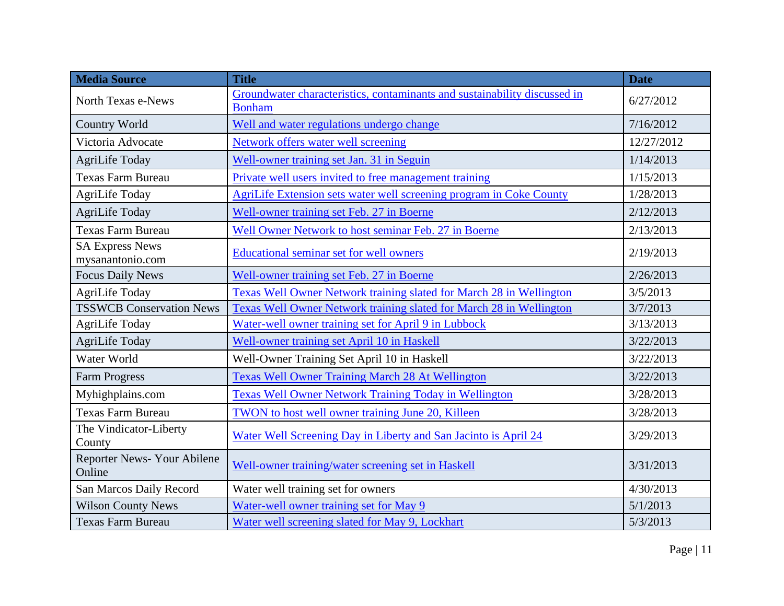| <b>Media Source</b>                        | <b>Title</b>                                                                               | <b>Date</b> |
|--------------------------------------------|--------------------------------------------------------------------------------------------|-------------|
| <b>North Texas e-News</b>                  | Groundwater characteristics, contaminants and sustainability discussed in<br><b>Bonham</b> | 6/27/2012   |
| <b>Country World</b>                       | Well and water regulations undergo change                                                  | 7/16/2012   |
| Victoria Advocate                          | <b>Network offers water well screening</b>                                                 | 12/27/2012  |
| AgriLife Today                             | Well-owner training set Jan. 31 in Seguin                                                  | 1/14/2013   |
| <b>Texas Farm Bureau</b>                   | Private well users invited to free management training                                     | 1/15/2013   |
| <b>AgriLife Today</b>                      | <b>AgriLife Extension sets water well screening program in Coke County</b>                 | 1/28/2013   |
| <b>AgriLife Today</b>                      | Well-owner training set Feb. 27 in Boerne                                                  | 2/12/2013   |
| <b>Texas Farm Bureau</b>                   | Well Owner Network to host seminar Feb. 27 in Boerne                                       | 2/13/2013   |
| <b>SA Express News</b><br>mysanantonio.com | <b>Educational seminar set for well owners</b>                                             | 2/19/2013   |
| <b>Focus Daily News</b>                    | Well-owner training set Feb. 27 in Boerne                                                  | 2/26/2013   |
| <b>AgriLife Today</b>                      | Texas Well Owner Network training slated for March 28 in Wellington                        | 3/5/2013    |
| <b>TSSWCB Conservation News</b>            | <b>Texas Well Owner Network training slated for March 28 in Wellington</b>                 | 3/7/2013    |
| <b>AgriLife Today</b>                      | Water-well owner training set for April 9 in Lubbock                                       | 3/13/2013   |
| <b>AgriLife Today</b>                      | Well-owner training set April 10 in Haskell                                                | 3/22/2013   |
| Water World                                | Well-Owner Training Set April 10 in Haskell                                                | 3/22/2013   |
| <b>Farm Progress</b>                       | <b>Texas Well Owner Training March 28 At Wellington</b>                                    | 3/22/2013   |
| Myhighplains.com                           | <b>Texas Well Owner Network Training Today in Wellington</b>                               | 3/28/2013   |
| <b>Texas Farm Bureau</b>                   | TWON to host well owner training June 20, Killeen                                          | 3/28/2013   |
| The Vindicator-Liberty<br>County           | Water Well Screening Day in Liberty and San Jacinto is April 24                            | 3/29/2013   |
| Reporter News-Your Abilene<br>Online       | Well-owner training/water screening set in Haskell                                         | 3/31/2013   |
| San Marcos Daily Record                    | Water well training set for owners                                                         | 4/30/2013   |
| <b>Wilson County News</b>                  | Water-well owner training set for May 9                                                    | 5/1/2013    |
| <b>Texas Farm Bureau</b>                   | Water well screening slated for May 9, Lockhart                                            | 5/3/2013    |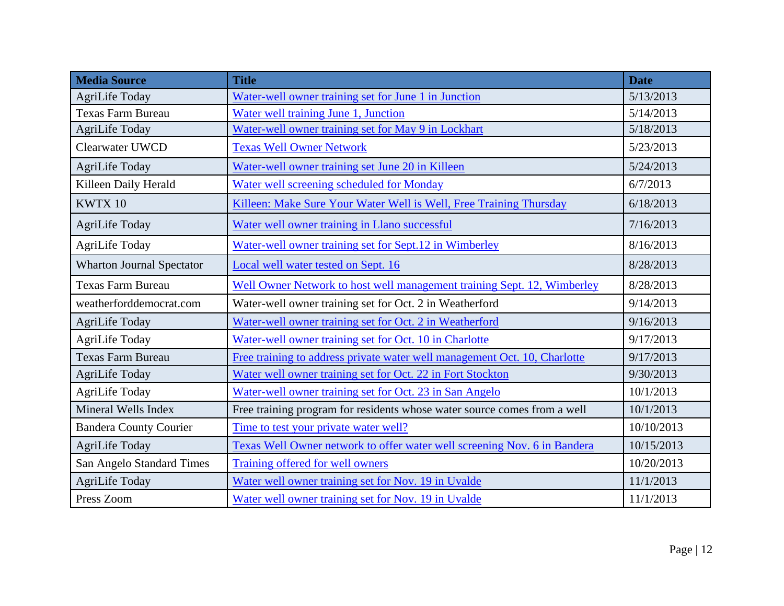| <b>Media Source</b>              | <b>Title</b>                                                              | <b>Date</b> |
|----------------------------------|---------------------------------------------------------------------------|-------------|
| AgriLife Today                   | Water-well owner training set for June 1 in Junction                      | 5/13/2013   |
| <b>Texas Farm Bureau</b>         | Water well training June 1, Junction                                      | 5/14/2013   |
| AgriLife Today                   | Water-well owner training set for May 9 in Lockhart                       | 5/18/2013   |
| <b>Clearwater UWCD</b>           | <b>Texas Well Owner Network</b>                                           | 5/23/2013   |
| AgriLife Today                   | Water-well owner training set June 20 in Killeen                          | 5/24/2013   |
| Killeen Daily Herald             | Water well screening scheduled for Monday                                 | 6/7/2013    |
| KWTX 10                          | Killeen: Make Sure Your Water Well is Well, Free Training Thursday        | 6/18/2013   |
| AgriLife Today                   | Water well owner training in Llano successful                             | 7/16/2013   |
| <b>AgriLife Today</b>            | Water-well owner training set for Sept.12 in Wimberley                    | 8/16/2013   |
| <b>Wharton Journal Spectator</b> | Local well water tested on Sept. 16                                       | 8/28/2013   |
| Texas Farm Bureau                | Well Owner Network to host well management training Sept. 12, Wimberley   | 8/28/2013   |
| weatherforddemocrat.com          | Water-well owner training set for Oct. 2 in Weatherford                   | 9/14/2013   |
| AgriLife Today                   | Water-well owner training set for Oct. 2 in Weatherford                   | 9/16/2013   |
| <b>AgriLife Today</b>            | Water-well owner training set for Oct. 10 in Charlotte                    | 9/17/2013   |
| <b>Texas Farm Bureau</b>         | Free training to address private water well management Oct. 10, Charlotte | 9/17/2013   |
| <b>AgriLife Today</b>            | Water well owner training set for Oct. 22 in Fort Stockton                | 9/30/2013   |
| AgriLife Today                   | Water-well owner training set for Oct. 23 in San Angelo                   | 10/1/2013   |
| Mineral Wells Index              | Free training program for residents whose water source comes from a well  | 10/1/2013   |
| <b>Bandera County Courier</b>    | Time to test your private water well?                                     | 10/10/2013  |
| <b>AgriLife Today</b>            | Texas Well Owner network to offer water well screening Nov. 6 in Bandera  | 10/15/2013  |
| San Angelo Standard Times        | Training offered for well owners                                          | 10/20/2013  |
| <b>AgriLife Today</b>            | Water well owner training set for Nov. 19 in Uvalde                       | 11/1/2013   |
| Press Zoom                       | Water well owner training set for Nov. 19 in Uvalde                       | 11/1/2013   |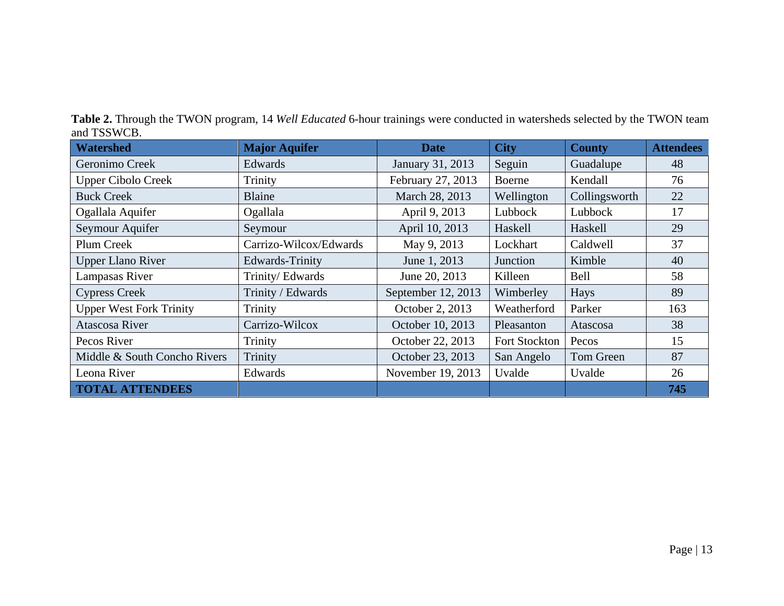**Table 2.** Through the TWON program, 14 *Well Educated* 6-hour trainings were conducted in watersheds selected by the TWON team and TSSWCB.

| <b>Watershed</b>               | <b>Major Aquifer</b>   | <b>Date</b>        | <b>City</b>   | <b>County</b> | <b>Attendees</b> |
|--------------------------------|------------------------|--------------------|---------------|---------------|------------------|
| Geronimo Creek                 | Edwards                | January 31, 2013   | Seguin        | Guadalupe     | 48               |
| <b>Upper Cibolo Creek</b>      | Trinity                | February 27, 2013  | Boerne        | Kendall       | 76               |
| <b>Buck Creek</b>              | Blaine                 | March 28, 2013     | Wellington    | Collingsworth | 22               |
| Ogallala Aquifer               | Ogallala               | April 9, 2013      | Lubbock       | Lubbock       | 17               |
| Seymour Aquifer                | Seymour                | April 10, 2013     | Haskell       | Haskell       | 29               |
| Plum Creek                     | Carrizo-Wilcox/Edwards | May 9, 2013        | Lockhart      | Caldwell      | 37               |
| <b>Upper Llano River</b>       | Edwards-Trinity        | June 1, 2013       | Junction      | Kimble        | 40               |
| Lampasas River                 | Trinity/Edwards        | June 20, 2013      | Killeen       | Bell          | 58               |
| <b>Cypress Creek</b>           | Trinity / Edwards      | September 12, 2013 | Wimberley     | Hays          | 89               |
| <b>Upper West Fork Trinity</b> | Trinity                | October 2, 2013    | Weatherford   | Parker        | 163              |
| Atascosa River                 | Carrizo-Wilcox         | October 10, 2013   | Pleasanton    | Atascosa      | 38               |
| Pecos River                    | <b>Trinity</b>         | October 22, 2013   | Fort Stockton | Pecos         | 15               |
| Middle & South Concho Rivers   | Trinity                | October 23, 2013   | San Angelo    | Tom Green     | 87               |
| Leona River                    | Edwards                | November 19, 2013  | Uvalde        | Uvalde        | 26               |
| <b>TOTAL ATTENDEES</b>         |                        |                    |               |               | 745              |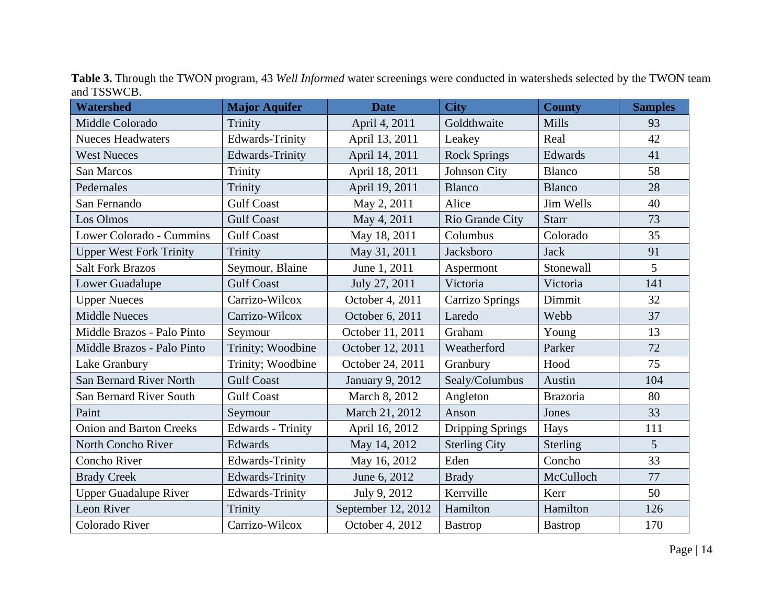| <b>Watershed</b>               | <b>Major Aquifer</b>   | <b>Date</b>        | <b>City</b>             | <b>County</b>   | <b>Samples</b> |
|--------------------------------|------------------------|--------------------|-------------------------|-----------------|----------------|
| Middle Colorado                | Trinity                | April 4, 2011      | Goldthwaite             | Mills           | 93             |
| <b>Nueces Headwaters</b>       | Edwards-Trinity        | April 13, 2011     | Leakey                  | Real            | 42             |
| <b>West Nueces</b>             | <b>Edwards-Trinity</b> | April 14, 2011     | <b>Rock Springs</b>     | Edwards         | 41             |
| <b>San Marcos</b>              | Trinity                | April 18, 2011     | Johnson City            | <b>Blanco</b>   | 58             |
| Pedernales                     | Trinity                | April 19, 2011     | <b>Blanco</b>           | <b>Blanco</b>   | 28             |
| San Fernando                   | <b>Gulf Coast</b>      | May 2, 2011        | Alice                   | Jim Wells       | 40             |
| Los Olmos                      | <b>Gulf Coast</b>      | May 4, 2011        | Rio Grande City         | <b>Starr</b>    | 73             |
| Lower Colorado - Cummins       | <b>Gulf Coast</b>      | May 18, 2011       | Columbus                | Colorado        | 35             |
| <b>Upper West Fork Trinity</b> | Trinity                | May 31, 2011       | Jacksboro               | <b>Jack</b>     | 91             |
| <b>Salt Fork Brazos</b>        | Seymour, Blaine        | June 1, 2011       | Aspermont               | Stonewall       | 5              |
| Lower Guadalupe                | <b>Gulf Coast</b>      | July 27, 2011      | Victoria                | Victoria        | 141            |
| <b>Upper Nueces</b>            | Carrizo-Wilcox         | October 4, 2011    | <b>Carrizo Springs</b>  | Dimmit          | 32             |
| <b>Middle Nueces</b>           | Carrizo-Wilcox         | October 6, 2011    | Laredo                  | Webb            | 37             |
| Middle Brazos - Palo Pinto     | Seymour                | October 11, 2011   | Graham                  | Young           | 13             |
| Middle Brazos - Palo Pinto     | Trinity; Woodbine      | October 12, 2011   | Weatherford             | Parker          | 72             |
| Lake Granbury                  | Trinity; Woodbine      | October 24, 2011   | Granbury                | Hood            | 75             |
| San Bernard River North        | <b>Gulf Coast</b>      | January 9, 2012    | Sealy/Columbus          | Austin          | 104            |
| San Bernard River South        | <b>Gulf Coast</b>      | March 8, 2012      | Angleton                | <b>Brazoria</b> | 80             |
| Paint                          | Seymour                | March 21, 2012     | Anson                   | Jones           | 33             |
| <b>Onion and Barton Creeks</b> | Edwards - Trinity      | April 16, 2012     | <b>Dripping Springs</b> | Hays            | 111            |
| North Concho River             | Edwards                | May 14, 2012       | <b>Sterling City</b>    | Sterling        | 5              |
| Concho River                   | <b>Edwards-Trinity</b> | May 16, 2012       | Eden                    | Concho          | 33             |
| <b>Brady Creek</b>             | <b>Edwards-Trinity</b> | June 6, 2012       | <b>Brady</b>            | McCulloch       | 77             |
| <b>Upper Guadalupe River</b>   | <b>Edwards-Trinity</b> | July 9, 2012       | Kerrville               | Kerr            | 50             |
| Leon River                     | Trinity                | September 12, 2012 | Hamilton                | Hamilton        | 126            |
| Colorado River                 | Carrizo-Wilcox         | October 4, 2012    | <b>Bastrop</b>          | <b>Bastrop</b>  | 170            |

**Table 3.** Through the TWON program, 43 *Well Informed* water screenings were conducted in watersheds selected by the TWON team and TSSWCB.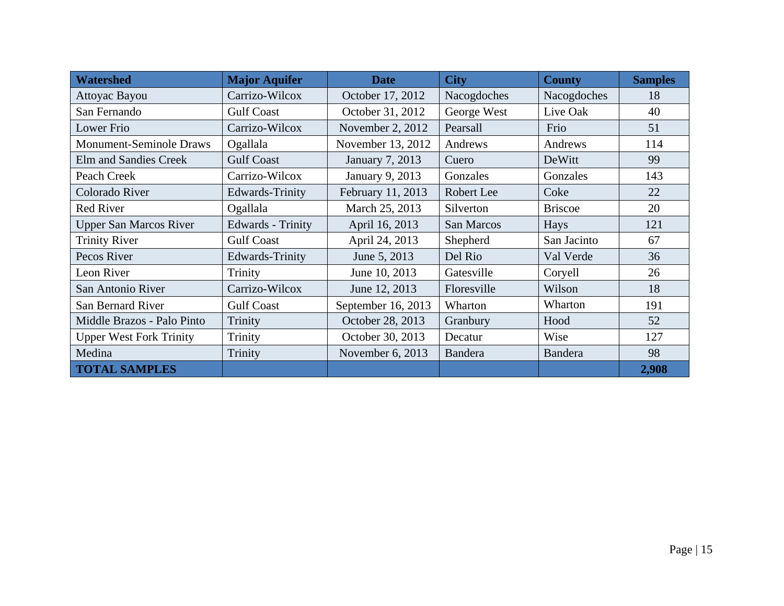| <b>Watershed</b>               | <b>Major Aquifer</b>     | <b>Date</b>        | <b>City</b>    | <b>County</b>  | <b>Samples</b> |
|--------------------------------|--------------------------|--------------------|----------------|----------------|----------------|
| Attoyac Bayou                  | Carrizo-Wilcox           | October 17, 2012   | Nacogdoches    | Nacogdoches    | 18             |
| San Fernando                   | <b>Gulf Coast</b>        | October 31, 2012   | George West    | Live Oak       | 40             |
| <b>Lower Frio</b>              | Carrizo-Wilcox           | November 2, 2012   | Pearsall       | Frio           | 51             |
| <b>Monument-Seminole Draws</b> | Ogallala                 | November 13, 2012  | Andrews        | Andrews        | 114            |
| Elm and Sandies Creek          | <b>Gulf Coast</b>        | January 7, 2013    | Cuero          | DeWitt         | 99             |
| Peach Creek                    | Carrizo-Wilcox           | January 9, 2013    | Gonzales       | Gonzales       | 143            |
| Colorado River                 | Edwards-Trinity          | February 11, 2013  | Robert Lee     | Coke           | 22             |
| Red River                      | Ogallala                 | March 25, 2013     | Silverton      | <b>Briscoe</b> | 20             |
| <b>Upper San Marcos River</b>  | <b>Edwards</b> - Trinity | April 16, 2013     | San Marcos     | Hays           | 121            |
| <b>Trinity River</b>           | <b>Gulf Coast</b>        | April 24, 2013     | Shepherd       | San Jacinto    | 67             |
| Pecos River                    | Edwards-Trinity          | June 5, 2013       | Del Rio        | Val Verde      | 36             |
| Leon River                     | Trinity                  | June 10, 2013      | Gatesville     | Coryell        | 26             |
| San Antonio River              | Carrizo-Wilcox           | June 12, 2013      | Floresville    | Wilson         | 18             |
| San Bernard River              | <b>Gulf Coast</b>        | September 16, 2013 | Wharton        | Wharton        | 191            |
| Middle Brazos - Palo Pinto     | Trinity                  | October 28, 2013   | Granbury       | Hood           | 52             |
| <b>Upper West Fork Trinity</b> | Trinity                  | October 30, 2013   | Decatur        | Wise           | 127            |
| Medina                         | Trinity                  | November 6, 2013   | <b>Bandera</b> | <b>Bandera</b> | 98             |
| <b>TOTAL SAMPLES</b>           |                          |                    |                |                | 2,908          |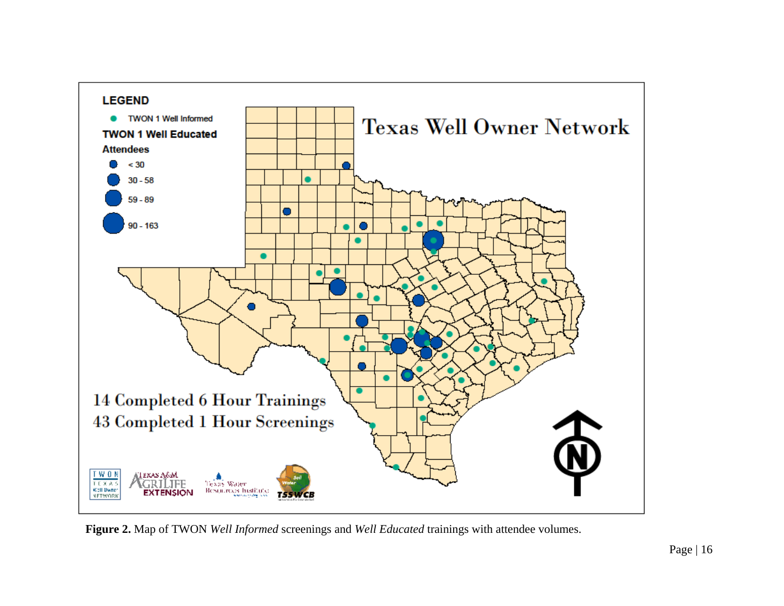

**Figure 2.** Map of TWON *Well Informed* screenings and *Well Educated* trainings with attendee volumes.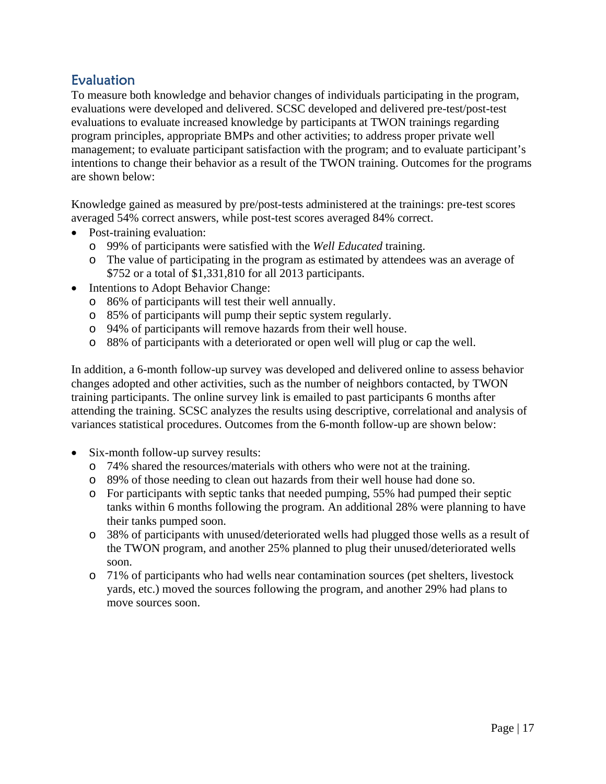#### Evaluation

To measure both knowledge and behavior changes of individuals participating in the program, evaluations were developed and delivered. SCSC developed and delivered pre-test/post-test evaluations to evaluate increased knowledge by participants at TWON trainings regarding program principles, appropriate BMPs and other activities; to address proper private well management; to evaluate participant satisfaction with the program; and to evaluate participant's intentions to change their behavior as a result of the TWON training. Outcomes for the programs are shown below:

Knowledge gained as measured by pre/post-tests administered at the trainings: pre-test scores averaged 54% correct answers, while post-test scores averaged 84% correct.

- Post-training evaluation:
	- o 99% of participants were satisfied with the *Well Educated* training.
	- o The value of participating in the program as estimated by attendees was an average of \$752 or a total of \$1,331,810 for all 2013 participants.
- Intentions to Adopt Behavior Change:
	- o 86% of participants will test their well annually.
	- o 85% of participants will pump their septic system regularly.
	- o 94% of participants will remove hazards from their well house.
	- o 88% of participants with a deteriorated or open well will plug or cap the well.

In addition, a 6-month follow-up survey was developed and delivered online to assess behavior changes adopted and other activities, such as the number of neighbors contacted, by TWON training participants. The online survey link is emailed to past participants 6 months after attending the training. SCSC analyzes the results using descriptive, correlational and analysis of variances statistical procedures. Outcomes from the 6-month follow-up are shown below:

- Six-month follow-up survey results:
	- o 74% shared the resources/materials with others who were not at the training.
	- o 89% of those needing to clean out hazards from their well house had done so.
	- o For participants with septic tanks that needed pumping, 55% had pumped their septic tanks within 6 months following the program. An additional 28% were planning to have their tanks pumped soon.
	- o 38% of participants with unused/deteriorated wells had plugged those wells as a result of the TWON program, and another 25% planned to plug their unused/deteriorated wells soon.
	- o 71% of participants who had wells near contamination sources (pet shelters, livestock yards, etc.) moved the sources following the program, and another 29% had plans to move sources soon.